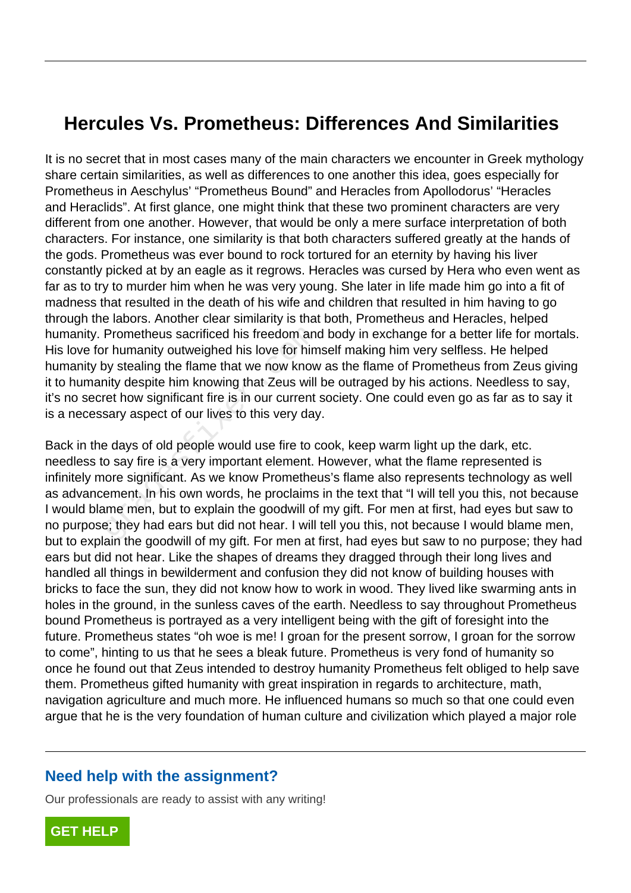## **Hercules Vs. Prometheus: Differences And Similarities**

It is no secret that in most cases many of the main characters we encounter in Greek mythology share certain similarities, as well as differences to one another this idea, goes especially for Prometheus in Aeschylus' "Prometheus Bound" and Heracles from Apollodorus' "Heracles and Heraclids". At first glance, one might think that these two prominent characters are very different from one another. However, that would be only a mere surface interpretation of both characters. For instance, one similarity is that both characters suffered greatly at the hands of the gods. Prometheus was ever bound to rock tortured for an eternity by having his liver constantly picked at by an eagle as it regrows. Heracles was cursed by Hera who even went as far as to try to murder him when he was very young. She later in life made him go into a fit of madness that resulted in the death of his wife and children that resulted in him having to go through the labors. Another clear similarity is that both, Prometheus and Heracles, helped humanity. Prometheus sacrificed his freedom and body in exchange for a better life for mortals. His love for humanity outweighed his love for himself making him very selfless. He helped humanity by stealing the flame that we now know as the flame of Prometheus from Zeus giving it to humanity despite him knowing that Zeus will be outraged by his actions. Needless to say, it's no secret how significant fire is in our current society. One could even go as far as to say it is a necessary aspect of our lives to this very day.

Back in the days of old people would use fire to cook, keep warm light up the dark, etc. needless to say fire is a very important element. However, what the flame represented is infinitely more significant. As we know Prometheus's flame also represents technology as well as advancement. In his own words, he proclaims in the text that "I will tell you this, not because I would blame men, but to explain the goodwill of my gift. For men at first, had eyes but saw to no purpose; they had ears but did not hear. I will tell you this, not because I would blame men, but to explain the goodwill of my gift. For men at first, had eyes but saw to no purpose; they had ears but did not hear. Like the shapes of dreams they dragged through their long lives and handled all things in bewilderment and confusion they did not know of building houses with bricks to face the sun, they did not know how to work in wood. They lived like swarming ants in holes in the ground, in the sunless caves of the earth. Needless to say throughout Prometheus bound Prometheus is portrayed as a very intelligent being with the gift of foresight into the future. Prometheus states "oh woe is me! I groan for the present sorrow, I groan for the sorrow to come", hinting to us that he sees a bleak future. Prometheus is very fond of humanity so once he found out that Zeus intended to destroy humanity Prometheus felt obliged to help save them. Prometheus gifted humanity with great inspiration in regards to architecture, math, navigation agriculture and much more. He influenced humans so much so that one could even argue that he is the very foundation of human culture and civilization which played a major role Prometheus sacrificed his freedom and<br>or humanity outweighed his love for him<br>by stealing the flame that we now know<br>nity despite him knowing that Zeus will<br>ret how significant fire is in our current<br>sary aspect of our liv

## **Need help with the assignment?**

Our professionals are ready to assist with any writing!

**[GET HELP](https://my.gradesfixer.com/order?utm_campaign=pdf_sample)**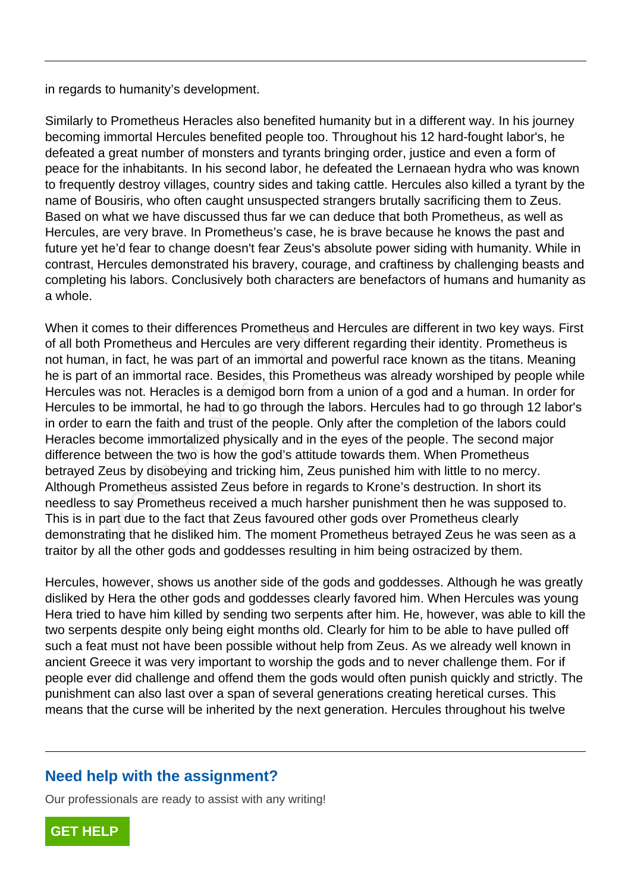in regards to humanity's development.

Similarly to Prometheus Heracles also benefited humanity but in a different way. In his journey becoming immortal Hercules benefited people too. Throughout his 12 hard-fought labor's, he defeated a great number of monsters and tyrants bringing order, justice and even a form of peace for the inhabitants. In his second labor, he defeated the Lernaean hydra who was known to frequently destroy villages, country sides and taking cattle. Hercules also killed a tyrant by the name of Bousiris, who often caught unsuspected strangers brutally sacrificing them to Zeus. Based on what we have discussed thus far we can deduce that both Prometheus, as well as Hercules, are very brave. In Prometheus's case, he is brave because he knows the past and future yet he'd fear to change doesn't fear Zeus's absolute power siding with humanity. While in contrast, Hercules demonstrated his bravery, courage, and craftiness by challenging beasts and completing his labors. Conclusively both characters are benefactors of humans and humanity as a whole.

When it comes to their differences Prometheus and Hercules are different in two key ways. First of all both Prometheus and Hercules are very different regarding their identity. Prometheus is not human, in fact, he was part of an immortal and powerful race known as the titans. Meaning he is part of an immortal race. Besides, this Prometheus was already worshiped by people while Hercules was not. Heracles is a demigod born from a union of a god and a human. In order for Hercules to be immortal, he had to go through the labors. Hercules had to go through 12 labor's in order to earn the faith and trust of the people. Only after the completion of the labors could Heracles become immortalized physically and in the eyes of the people. The second major difference between the two is how the god's attitude towards them. When Prometheus betrayed Zeus by disobeying and tricking him, Zeus punished him with little to no mercy. Although Prometheus assisted Zeus before in regards to Krone's destruction. In short its needless to say Prometheus received a much harsher punishment then he was supposed to. This is in part due to the fact that Zeus favoured other gods over Prometheus clearly demonstrating that he disliked him. The moment Prometheus betrayed Zeus he was seen as a traitor by all the other gods and goddesses resulting in him being ostracized by them. Frometheus and Hercules are very differences Prometheus and Hercules are very different in that, he was part of an immortal and framewas not. Heracles is a demigod born from be immortal, he had to go through the earn the f

Hercules, however, shows us another side of the gods and goddesses. Although he was greatly disliked by Hera the other gods and goddesses clearly favored him. When Hercules was young Hera tried to have him killed by sending two serpents after him. He, however, was able to kill the two serpents despite only being eight months old. Clearly for him to be able to have pulled off such a feat must not have been possible without help from Zeus. As we already well known in ancient Greece it was very important to worship the gods and to never challenge them. For if people ever did challenge and offend them the gods would often punish quickly and strictly. The punishment can also last over a span of several generations creating heretical curses. This means that the curse will be inherited by the next generation. Hercules throughout his twelve

## **Need help with the assignment?**

Our professionals are ready to assist with any writing!

**[GET HELP](https://my.gradesfixer.com/order?utm_campaign=pdf_sample)**